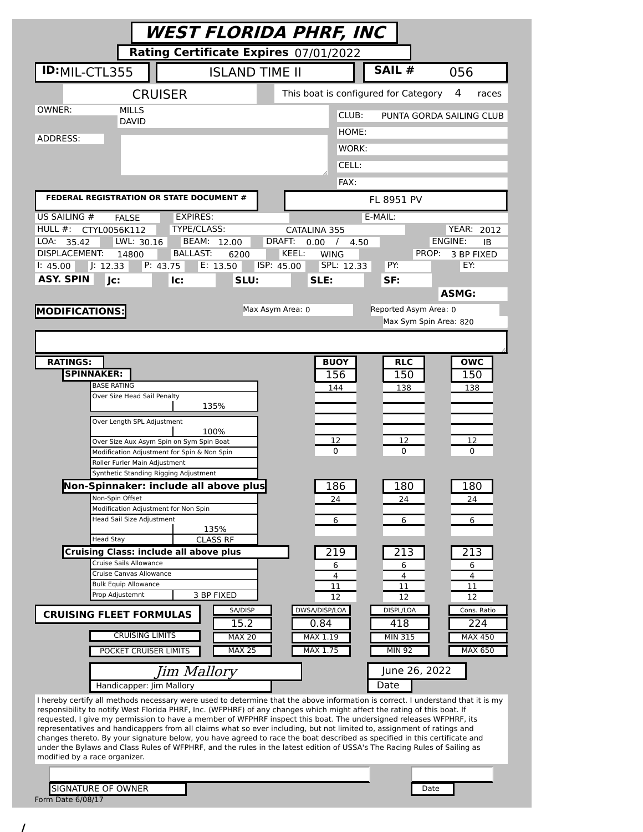|                                                                                                                                                                                                                                                                                                                                                                                                                                                                                                                                                                                                                                                                                                                                                                                                                                                                                                                                                                                                                                                                                                                                                                                                          | WEST FLORIDA PHRF, INC                                                                                                                                                                                                                                                                                                                                                                          |                                                                                                                       |                                                                                                                                     |                                                                                                                                          |
|----------------------------------------------------------------------------------------------------------------------------------------------------------------------------------------------------------------------------------------------------------------------------------------------------------------------------------------------------------------------------------------------------------------------------------------------------------------------------------------------------------------------------------------------------------------------------------------------------------------------------------------------------------------------------------------------------------------------------------------------------------------------------------------------------------------------------------------------------------------------------------------------------------------------------------------------------------------------------------------------------------------------------------------------------------------------------------------------------------------------------------------------------------------------------------------------------------|-------------------------------------------------------------------------------------------------------------------------------------------------------------------------------------------------------------------------------------------------------------------------------------------------------------------------------------------------------------------------------------------------|-----------------------------------------------------------------------------------------------------------------------|-------------------------------------------------------------------------------------------------------------------------------------|------------------------------------------------------------------------------------------------------------------------------------------|
|                                                                                                                                                                                                                                                                                                                                                                                                                                                                                                                                                                                                                                                                                                                                                                                                                                                                                                                                                                                                                                                                                                                                                                                                          | Rating Certificate Expires 07/01/2022                                                                                                                                                                                                                                                                                                                                                           |                                                                                                                       |                                                                                                                                     |                                                                                                                                          |
| <b>ID:</b> MIL-CTL355                                                                                                                                                                                                                                                                                                                                                                                                                                                                                                                                                                                                                                                                                                                                                                                                                                                                                                                                                                                                                                                                                                                                                                                    | <b>ISLAND TIME II</b>                                                                                                                                                                                                                                                                                                                                                                           |                                                                                                                       | SAIL #                                                                                                                              | 056                                                                                                                                      |
|                                                                                                                                                                                                                                                                                                                                                                                                                                                                                                                                                                                                                                                                                                                                                                                                                                                                                                                                                                                                                                                                                                                                                                                                          | <b>CRUISER</b>                                                                                                                                                                                                                                                                                                                                                                                  |                                                                                                                       | This boat is configured for Category                                                                                                | 4<br>races                                                                                                                               |
| OWNER:<br><b>MILLS</b><br><b>DAVID</b>                                                                                                                                                                                                                                                                                                                                                                                                                                                                                                                                                                                                                                                                                                                                                                                                                                                                                                                                                                                                                                                                                                                                                                   |                                                                                                                                                                                                                                                                                                                                                                                                 |                                                                                                                       | CLUB:                                                                                                                               | PUNTA GORDA SAILING CLUB                                                                                                                 |
| ADDRESS:                                                                                                                                                                                                                                                                                                                                                                                                                                                                                                                                                                                                                                                                                                                                                                                                                                                                                                                                                                                                                                                                                                                                                                                                 |                                                                                                                                                                                                                                                                                                                                                                                                 |                                                                                                                       | HOME:                                                                                                                               |                                                                                                                                          |
|                                                                                                                                                                                                                                                                                                                                                                                                                                                                                                                                                                                                                                                                                                                                                                                                                                                                                                                                                                                                                                                                                                                                                                                                          |                                                                                                                                                                                                                                                                                                                                                                                                 |                                                                                                                       | WORK:                                                                                                                               |                                                                                                                                          |
|                                                                                                                                                                                                                                                                                                                                                                                                                                                                                                                                                                                                                                                                                                                                                                                                                                                                                                                                                                                                                                                                                                                                                                                                          |                                                                                                                                                                                                                                                                                                                                                                                                 |                                                                                                                       | CELL:                                                                                                                               |                                                                                                                                          |
| FEDERAL REGISTRATION OR STATE DOCUMENT #                                                                                                                                                                                                                                                                                                                                                                                                                                                                                                                                                                                                                                                                                                                                                                                                                                                                                                                                                                                                                                                                                                                                                                 |                                                                                                                                                                                                                                                                                                                                                                                                 |                                                                                                                       | FAX:<br>FL 8951 PV                                                                                                                  |                                                                                                                                          |
| US SAILING #<br><b>FALSE</b>                                                                                                                                                                                                                                                                                                                                                                                                                                                                                                                                                                                                                                                                                                                                                                                                                                                                                                                                                                                                                                                                                                                                                                             | <b>EXPIRES:</b>                                                                                                                                                                                                                                                                                                                                                                                 |                                                                                                                       | E-MAIL:                                                                                                                             |                                                                                                                                          |
| $HULL$ #:<br>CTYL0056K112<br>LOA:<br>LWL: 30.16<br>35.42<br>DISPLACEMENT:<br>14800<br>J: 12.33<br>1: 45.00<br><b>ASY. SPIN</b><br>Jc:                                                                                                                                                                                                                                                                                                                                                                                                                                                                                                                                                                                                                                                                                                                                                                                                                                                                                                                                                                                                                                                                    | TYPE/CLASS:<br>BEAM:<br>12.00<br><b>BALLAST:</b><br>6200<br>P: 43.75<br>E: 13.50<br>lc:<br>SLU:                                                                                                                                                                                                                                                                                                 | CATALINA 355<br>DRAFT:<br>0.00<br>$\prime$<br>KEEL:<br><b>WING</b><br>ISP: 45.00<br>SLE:                              | 4.50<br>SPL: 12.33<br>PY:<br>SF:                                                                                                    | <b>YEAR: 2012</b><br>ENGINE:<br>IB<br>PROP:<br>3 BP FIXED<br>EY:<br><b>ASMG:</b>                                                         |
| <b>MODIFICATIONS:</b>                                                                                                                                                                                                                                                                                                                                                                                                                                                                                                                                                                                                                                                                                                                                                                                                                                                                                                                                                                                                                                                                                                                                                                                    |                                                                                                                                                                                                                                                                                                                                                                                                 | Max Asym Area: 0                                                                                                      | Reported Asym Area: 0                                                                                                               |                                                                                                                                          |
|                                                                                                                                                                                                                                                                                                                                                                                                                                                                                                                                                                                                                                                                                                                                                                                                                                                                                                                                                                                                                                                                                                                                                                                                          |                                                                                                                                                                                                                                                                                                                                                                                                 |                                                                                                                       |                                                                                                                                     | Max Sym Spin Area: 820                                                                                                                   |
|                                                                                                                                                                                                                                                                                                                                                                                                                                                                                                                                                                                                                                                                                                                                                                                                                                                                                                                                                                                                                                                                                                                                                                                                          |                                                                                                                                                                                                                                                                                                                                                                                                 |                                                                                                                       |                                                                                                                                     |                                                                                                                                          |
| <b>SPINNAKER:</b><br><b>BASE RATING</b><br>Over Size Head Sail Penalty<br>Over Length SPL Adjustment<br>Roller Furler Main Adjustment<br>Non-Spin Offset<br>Head Sail Size Adjustment<br><b>Head Stay</b><br>Cruise Sails Allowance<br>Cruise Canvas Allowance<br><b>Bulk Equip Allowance</b><br>Prop Adjustemnt<br><b>CRUISING FLEET FORMULAS</b><br><b>CRUISING LIMITS</b><br>POCKET CRUISER LIMITS<br>Handicapper: Jim Mallory<br>I hereby certify all methods necessary were used to determine that the above information is correct. I understand that it is my<br>responsibility to notify West Florida PHRF, Inc. (WFPHRF) of any changes which might affect the rating of this boat. If<br>requested, I give my permission to have a member of WFPHRF inspect this boat. The undersigned releases WFPHRF, its<br>representatives and handicappers from all claims what so ever including, but not limited to, assignment of ratings and<br>changes thereto. By your signature below, you have agreed to race the boat described as specified in this certificate and<br>under the Bylaws and Class Rules of WFPHRF, and the rules in the latest edition of USSA's The Racing Rules of Sailing as | 135%<br>100%<br>Over Size Aux Asym Spin on Sym Spin Boat<br>Modification Adjustment for Spin & Non Spin<br>Synthetic Standing Rigging Adjustment<br>Non-Spinnaker: include all above plus<br>Modification Adjustment for Non Spin<br>135%<br><b>CLASS RF</b><br><b>Cruising Class: include all above plus</b><br>3 BP FIXED<br>SA/DISP<br>15.2<br><b>MAX 20</b><br><b>MAX 25</b><br>Jim Mallory | 156<br>144<br>12<br>0<br>186<br>24<br>6<br>219<br>6<br>4<br>11<br>12<br>DWSA/DISP/LOA<br>0.84<br>MAX 1.19<br>MAX 1.75 | 150<br>138<br>12<br>0<br>180<br>24<br>6<br>213<br>6<br>4<br>11<br>12<br>DISPL/LOA<br>418<br><b>MIN 315</b><br><b>MIN 92</b><br>Date | 150<br>138<br>12<br>0<br>180<br>24<br>6<br>213<br>6<br>4<br>11<br>12<br>Cons. Ratio<br>224<br><b>MAX 450</b><br>MAX 650<br>June 26, 2022 |
| modified by a race organizer.<br><b>SIGNATURE OF OWNER</b><br>Form Date 6/08/17                                                                                                                                                                                                                                                                                                                                                                                                                                                                                                                                                                                                                                                                                                                                                                                                                                                                                                                                                                                                                                                                                                                          |                                                                                                                                                                                                                                                                                                                                                                                                 |                                                                                                                       |                                                                                                                                     | Date                                                                                                                                     |

/